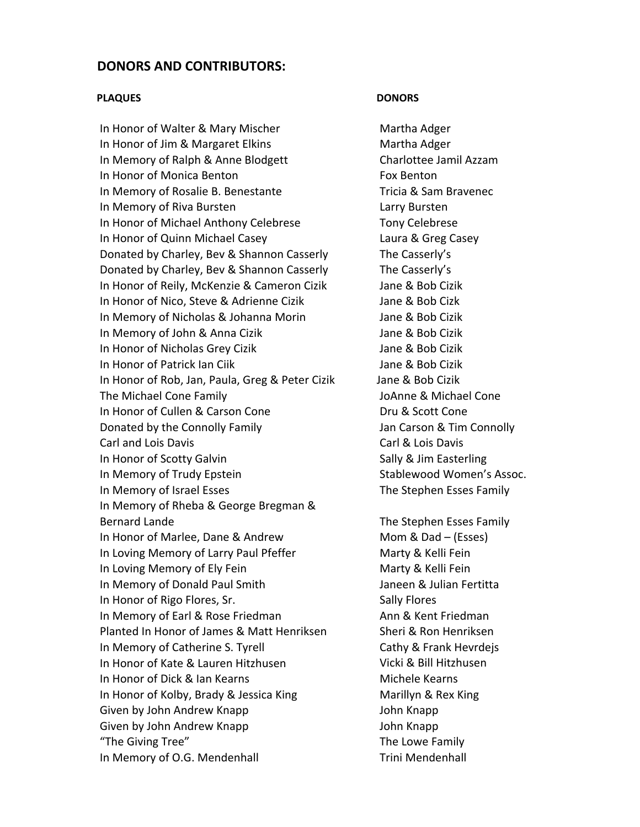## **DONORS AND CONTRIBUTORS:**

### **PLAQUES** DONORS

In Honor of Walter & Mary Mischer **Martha Adger** Martha Adger In Honor of Jim & Margaret Elkins **Martha Adger** In Memory of Ralph & Anne Blodgett Charlottee Jamil Azzam In Honor of Monica Benton **1992 1993 Fox Benton** In Memory of Rosalie B. Benestante Tricia & Sam Bravenec In Memory of Riva Bursten **In Memory of Riva Bursten** In Honor of Michael Anthony Celebrese Tony Celebrese In Honor of Quinn Michael Casey Laura & Greg Casey Donated by Charley, Bev & Shannon Casserly The Casserly's Donated by Charley, Bev & Shannon Casserly The Casserly's In Honor of Reily, McKenzie & Cameron Cizik Jane & Bob Cizik In Honor of Nico, Steve & Adrienne Cizik Jane & Bob Cizk In Memory of Nicholas & Johanna Morin Jane & Bob Cizik In Memory of John & Anna Cizik Jane & Bob Cizik In Honor of Nicholas Grey Cizik **1998** Jane & Bob Cizik In Honor of Patrick Ian Ciik Jane & Bob Cizik In Honor of Rob, Jan, Paula, Greg & Peter Cizik Jane & Bob Cizik The Michael Cone Family JoAnne & Michael Cone In Honor of Cullen & Carson Cone **Dru & Scott Cone** Donated by the Connolly Family  $\sim$  Jan Carson & Tim Connolly Carl and Lois Davis Carl & Lois Davis In Honor of Scotty Galvin **Scotty Galvin Sally & Jim Easterling** In Memory of Trudy Epstein **Stablewood Women's Assoc.** In Memory of Israel Esses **Burners Contained The Stephen Esses Family** In Memory of Rheba & George Bregman & Bernard Lande **The Stephen Esses Family** In Honor of Marlee, Dane & Andrew Mom & Dad – (Esses) In Loving Memory of Larry Paul Pfeffer Marty & Kelli Fein In Loving Memory of Ely Fein **Marty & Kelli Fein** Marty & Kelli Fein In Memory of Donald Paul Smith Sames Communist Canada Research Manuel Manuel And Julian Fertitta In Honor of Rigo Flores, Sr. Sally Flores In Memory of Earl & Rose Friedman Ann & Kent Friedman Planted In Honor of James & Matt Henriksen Sheri & Ron Henriksen In Memory of Catherine S. Tyrell **Same Cathy & Frank Hevrdeis** In Honor of Kate & Lauren Hitzhusen Vicki & Bill Hitzhusen In Honor of Dick & Ian Kearns  **Michele Kearns** In Honor of Kolby, Brady & Jessica King **Marillyn & Rex King** Given by John Andrew Knapp **Calculates 19th** John Knapp Given by John Andrew Knapp **Calculates 19th** John Knapp "The Giving Tree" **The Lowe Family** In Memory of O.G. Mendenhall **In Memory of O.G. Mendenhall**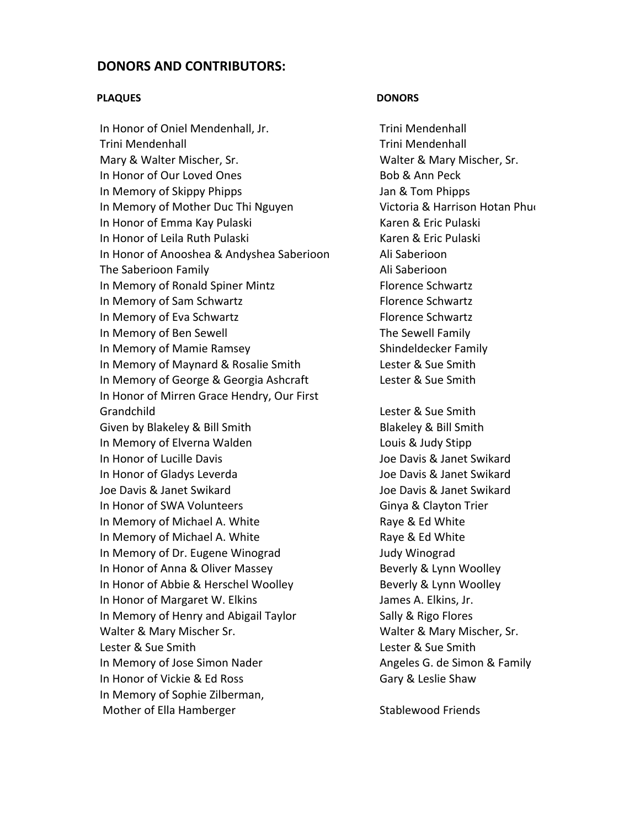## **DONORS AND CONTRIBUTORS:**

### **PLAQUES** DONORS

In Honor of Oniel Mendenhall, Jr. Trini Mendenhall Trini Mendenhall Trini Mendenhall Mary & Walter Mischer, Sr. The Matter & Mary Mischer, Sr. In Honor of Our Loved Ones **Bob & Ann Peck** In Memory of Skippy Phipps  **Jan & Tom Phipps** In Memory of Mother Duc Thi Nguyen **In Common Victoria & Harrison Hotan Phuo** In Honor of Emma Kay Pulaski Karen & Eric Pulaski In Honor of Leila Ruth Pulaski **Bulgary 2018** Karen & Eric Pulaski In Honor of Anooshea & Andyshea Saberioon Ali Saberioon The Saberioon Family **The Saberioon** In Memory of Ronald Spiner Mintz Florence Schwartz In Memory of Sam Schwartz **Bank Constants Constants Constants Constants Constants Constants Constants Constants** In Memory of Eva Schwartz **Brand Election Schwartz** Florence Schwartz In Memory of Ben Sewell **In Memory of Ben Sewell** In Memory of Mamie Ramsey **8. In the Shindeldecker Family** In Memory of Maynard & Rosalie Smith Lester & Sue Smith In Memory of George & Georgia Ashcraft Lester & Sue Smith In Honor of Mirren Grace Hendry, Our First Grandchild Lester & Sue Smith Given by Blakeley & Bill Smith **Blakeley & Bill Smith** In Memory of Elverna Walden **In Memory of Elverna Walden** In Honor of Lucille Davis Joe Davis & Janet Swikard In Honor of Gladys Leverda Joe Davis & Janet Swikard Joe Davis & Janet Swikard Joe Davis & Janet Swikard In Honor of SWA Volunteers 
Sinya & Clayton Trier In Memory of Michael A. White Raye & Ed White In Memory of Michael A. White Raye & Ed White In Memory of Dr. Eugene Winograd Judy Winograd In Honor of Anna & Oliver Massey Beverly & Lynn Woolley In Honor of Abbie & Herschel Woolley **Beverly & Lynn Woolley** In Honor of Margaret W. Elkins **In Accord A. Elkins, Jr.** James A. Elkins, Jr. In Memory of Henry and Abigail Taylor Sally & Rigo Flores Walter & Mary Mischer Sr. The Matter & Mary Mischer, Sr. Lester & Sue Smith Lester & Sue Smith In Memory of Jose Simon Nader **1998** Angeles G. de Simon & Family In Honor of Vickie & Ed Ross  **Gary & Leslie Shaw** In Memory of Sophie Zilberman, Mother of Ella Hamberger **Stablewood Friends**